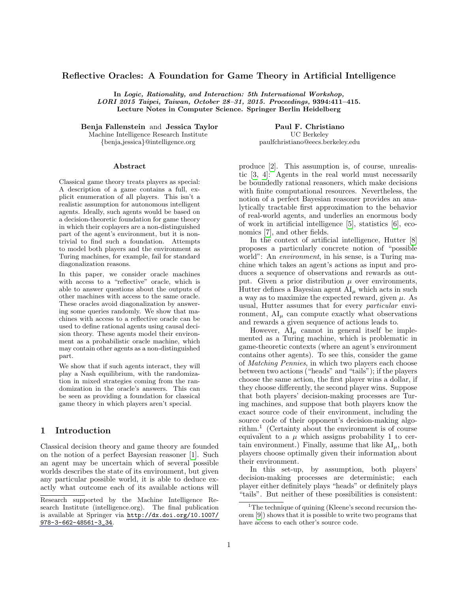#### Reflective Oracles: A Foundation for Game Theory in Artificial Intelligence

In Logic, Rationality, and Interaction: 5th International Workshop, LORI 2015 Taipei, Taiwan, October 28–31, 2015. Proceedings, 9394:411–415. Lecture Notes in Computer Science. Springer Berlin Heidelberg

Benja Fallenstein and Jessica Taylor

Machine Intelligence Research Institute {benja,jessica}@intelligence.org

#### Abstract

Classical game theory treats players as special: A description of a game contains a full, explicit enumeration of all players. This isn't a realistic assumption for autonomous intelligent agents. Ideally, such agents would be based on a decision-theoretic foundation for game theory in which their coplayers are a non-distinguished part of the agent's environment, but it is nontrivial to find such a foundation. Attempts to model both players and the environment as Turing machines, for example, fail for standard diagonalization reasons.

In this paper, we consider oracle machines with access to a "reflective" oracle, which is able to answer questions about the outputs of other machines with access to the same oracle. These oracles avoid diagonalization by answering some queries randomly. We show that machines with access to a reflective oracle can be used to define rational agents using causal decision theory. These agents model their environment as a probabilistic oracle machine, which may contain other agents as a non-distinguished part.

We show that if such agents interact, they will play a Nash equilibrium, with the randomization in mixed strategies coming from the randomization in the oracle's answers. This can be seen as providing a foundation for classical game theory in which players aren't special.

#### 1 Introduction

Classical decision theory and game theory are founded on the notion of a perfect Bayesian reasoner [\[1\]](#page-6-0). Such an agent may be uncertain which of several possible worlds describes the state of its environment, but given any particular possible world, it is able to deduce exactly what outcome each of its available actions will

Paul F. Christiano UC Berkeley paulfchristiano@eecs.berkeley.edu

produce [\[2\]](#page-6-1). This assumption is, of course, unrealistic [\[3,](#page-6-2) [4\]](#page-6-3): Agents in the real world must necessarily be boundedly rational reasoners, which make decisions with finite computational resources. Nevertheless, the notion of a perfect Bayesian reasoner provides an analytically tractable first approximation to the behavior of real-world agents, and underlies an enormous body of work in artificial intelligence [\[5\]](#page-6-4), statistics [\[6\]](#page-6-5), economics [\[7\]](#page-6-6), and other fields.

In the context of artificial intelligence, Hutter [\[8\]](#page-6-7) proposes a particularly concrete notion of "possible world": An environment, in his sense, is a Turing machine which takes an agent's actions as input and produces a sequence of observations and rewards as output. Given a prior distribution  $\mu$  over environments, Hutter defines a Bayesian agent  $AI<sub>u</sub>$  which acts in such a way as to maximize the expected reward, given  $\mu$ . As usual, Hutter assumes that for every particular environment,  $AI<sub>u</sub>$  can compute exactly what observations and rewards a given sequence of actions leads to.

However,  $AI_{\mu}$  cannot in general itself be implemented as a Turing machine, which is problematic in game-theoretic contexts (where an agent's environment contains other agents). To see this, consider the game of Matching Pennies, in which two players each choose between two actions ("heads" and "tails"); if the players choose the same action, the first player wins a dollar, if they choose differently, the second player wins. Suppose that both players' decision-making processes are Turing machines, and suppose that both players know the exact source code of their environment, including the source code of their opponent's decision-making algorithm.[1](#page-0-0) (Certainty about the environment is of course equivalent to a  $\mu$  which assigns probability 1 to certain environment.) Finally, assume that like  $AI<sub>u</sub>$ , both players choose optimally given their information about their environment.

In this set-up, by assumption, both players' decision-making processes are deterministic; each player either definitely plays "heads" or definitely plays "tails". But neither of these possibilities is consistent:

Research supported by the Machine Intelligence Research Institute (intelligence.org). The final publication is available at Springer via [http://dx.doi.org/10.1007/](http://dx.doi.org/10.1007/978-3-662-48561-3_34) [978-3-662-48561-3\\_34](http://dx.doi.org/10.1007/978-3-662-48561-3_34).

<span id="page-0-0"></span><sup>&</sup>lt;sup>1</sup>The technique of quining (Kleene's second recursion theorem [\[9\]](#page-6-8)) shows that it is possible to write two programs that have access to each other's source code.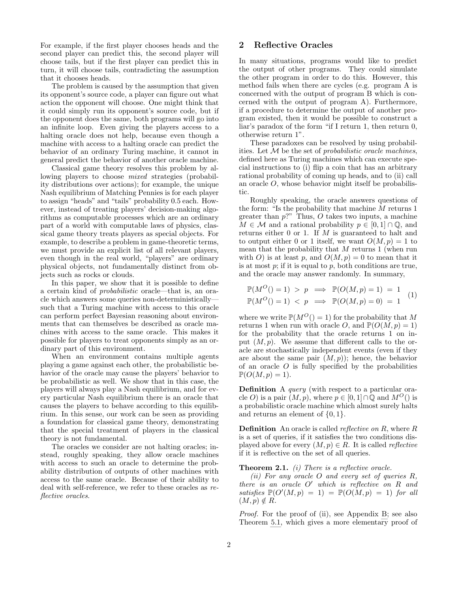For example, if the first player chooses heads and the second player can predict this, the second player will choose tails, but if the first player can predict this in turn, it will choose tails, contradicting the assumption that it chooses heads.

The problem is caused by the assumption that given its opponent's source code, a player can figure out what action the opponent will choose. One might think that it could simply run its opponent's source code, but if the opponent does the same, both programs will go into an infinite loop. Even giving the players access to a halting oracle does not help, because even though a machine with access to a halting oracle can predict the behavior of an ordinary Turing machine, it cannot in general predict the behavior of another oracle machine.

Classical game theory resolves this problem by allowing players to choose mixed strategies (probability distributions over actions); for example, the unique Nash equilibrium of Matching Pennies is for each player to assign "heads" and "tails" probability 0.5 each. However, instead of treating players' decision-making algorithms as computable processes which are an ordinary part of a world with computable laws of physics, classical game theory treats players as special objects. For example, to describe a problem in game-theoretic terms, we must provide an explicit list of all relevant players, even though in the real world, "players" are ordinary physical objects, not fundamentally distinct from objects such as rocks or clouds.

In this paper, we show that it is possible to define a certain kind of probabilistic oracle—that is, an oracle which answers some queries non-deterministically such that a Turing machine with access to this oracle can perform perfect Bayesian reasoning about environments that can themselves be described as oracle machines with access to the same oracle. This makes it possible for players to treat opponents simply as an ordinary part of this environment.

When an environment contains multiple agents playing a game against each other, the probabilistic behavior of the oracle may cause the players' behavior to be probabilistic as well. We show that in this case, the players will always play a Nash equilibrium, and for every particular Nash equilibrium there is an oracle that causes the players to behave according to this equilibrium. In this sense, our work can be seen as providing a foundation for classical game theory, demonstrating that the special treatment of players in the classical theory is not fundamental.

The oracles we consider are not halting oracles; instead, roughly speaking, they allow oracle machines with access to such an oracle to determine the probability distribution of outputs of other machines with access to the same oracle. Because of their ability to deal with self-reference, we refer to these oracles as reflective oracles.

#### <span id="page-1-1"></span>2 Reflective Oracles

In many situations, programs would like to predict the output of other programs. They could simulate the other program in order to do this. However, this method fails when there are cycles (e.g. program A is concerned with the output of program B which is concerned with the output of program A). Furthermore, if a procedure to determine the output of another program existed, then it would be possible to construct a liar's paradox of the form "if I return 1, then return 0, otherwise return 1".

These paradoxes can be resolved by using probabilities. Let  $M$  be the set of probabilistic oracle machines, defined here as Turing machines which can execute special instructions to (i) flip a coin that has an arbitrary rational probability of coming up heads, and to (ii) call an oracle O, whose behavior might itself be probabilistic.

Roughly speaking, the oracle answers questions of the form: "Is the probability that machine M returns 1 greater than  $p$ ?" Thus,  $O$  takes two inputs, a machine  $M \in \mathcal{M}$  and a rational probability  $p \in [0,1] \cap \mathbb{Q}$ , and returns either 0 or 1. If M is guaranteed to halt and to output either 0 or 1 itself, we want  $O(M, p) = 1$  to mean that the probability that  $M$  returns 1 (when run with O) is at least p, and  $O(M, p) = 0$  to mean that it is at most  $p$ ; if it is equal to  $p$ , both conditions are true, and the oracle may answer randomly. In summary,

$$
\mathbb{P}(M^O()=1) > p \implies \mathbb{P}(O(M, p) = 1) = 1 \quad (1)
$$
\n
$$
\mathbb{P}(M^O()=1) < p \implies \mathbb{P}(O(M, p) = 0) = 1 \quad (1)
$$

where we write  $\mathbb{P}(M^O()=1)$  for the probability that M returns 1 when run with oracle O, and  $\mathbb{P}(O(M, p) = 1)$ for the probability that the oracle returns 1 on input  $(M, p)$ . We assume that different calls to the oracle are stochastically independent events (even if they are about the same pair  $(M, p)$ ; hence, the behavior of an oracle  $O$  is fully specified by the probabilities  $\mathbb{P}(O(M,p)=1).$ 

Definition A query (with respect to a particular oracle O) is a pair  $(M, p)$ , where  $p \in [0, 1] \cap \mathbb{Q}$  and  $M^{\mathcal{O}}()$  is a probabilistic oracle machine which almost surely halts and returns an element of  $\{0, 1\}$ .

**Definition** An oracle is called *reflective on R*, where  $R$ is a set of queries, if it satisfies the two conditions displayed above for every  $(M, p) \in R$ . It is called *reflective* if it is reflective on the set of all queries.

<span id="page-1-0"></span>**Theorem 2.1.** (i) There is a reflective oracle.

(ii) For any oracle O and every set of queries R, there is an oracle  $O'$  which is reflective on  $R$  and satisfies  $\mathbb{P}(O'(M,p) = 1) = \mathbb{P}(O(M,p) = 1)$  for all  $(M, p) \notin R$ .

Proof. For the proof of (ii), see Appendix [B;](#page-5-0) see also Theorem [5.1,](#page-3-0) which gives a more elementary proof of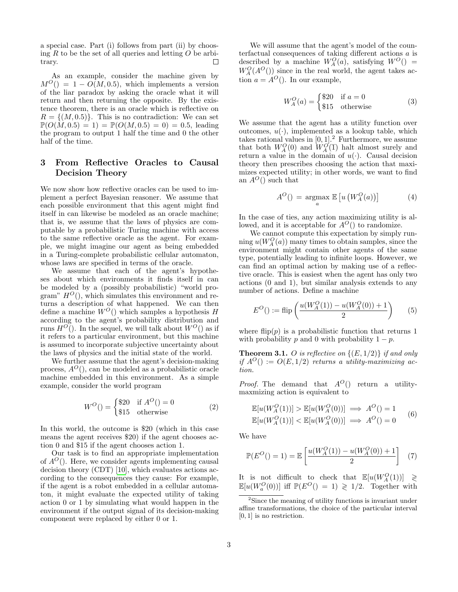a special case. Part (i) follows from part (ii) by choosing R to be the set of all queries and letting  $O$  be arbi- $\Box$ trary.

As an example, consider the machine given by  $M^{O}() = 1 - O(M, 0.5)$ , which implements a version of the liar paradox by asking the oracle what it will return and then returning the opposite. By the existence theorem, there is an oracle which is reflective on  $R = \{(M, 0.5)\}\.$  This is no contradiction: We can set  $\mathbb{P}(O(M, 0.5) = 1) = \mathbb{P}(O(M, 0.5) = 0) = 0.5$ , leading the program to output 1 half the time and 0 the other half of the time.

# 3 From Reflective Oracles to Causal Decision Theory

We now show how reflective oracles can be used to implement a perfect Bayesian reasoner. We assume that each possible environment that this agent might find itself in can likewise be modeled as an oracle machine; that is, we assume that the laws of physics are computable by a probabilistic Turing machine with access to the same reflective oracle as the agent. For example, we might imagine our agent as being embedded in a Turing-complete probabilistic cellular automaton, whose laws are specified in terms of the oracle.

We assume that each of the agent's hypotheses about which environments it finds itself in can be modeled by a (possibly probabilistic) "world program"  $H^O($ , which simulates this environment and returns a description of what happened. We can then define a machine  $W^O()$  which samples a hypothesis H according to the agent's probability distribution and runs  $H^{\mathcal{O}}($ ). In the sequel, we will talk about  $W^{\mathcal{O}}()$  as if it refers to a particular environment, but this machine is assumed to incorporate subjective uncertainty about the laws of physics and the initial state of the world.

We further assume that the agent's decision-making process,  $A^{O}($ , can be modeled as a probabilistic oracle machine embedded in this environment. As a simple example, consider the world program

$$
W^{O}() = \begin{cases} \$20 & \text{if } A^{O}() = 0\\ \$15 & \text{otherwise} \end{cases}
$$
 (2)

In this world, the outcome is \$20 (which in this case means the agent receives \$20) if the agent chooses action 0 and \$15 if the agent chooses action 1.

Our task is to find an appropriate implementation of  $A^{O}$ . Here, we consider agents implementing causal decision theory (CDT) [\[10\]](#page-6-9), which evaluates actions according to the consequences they cause: For example, if the agent is a robot embedded in a cellular automaton, it might evaluate the expected utility of taking action 0 or 1 by simulating what would happen in the environment if the output signal of its decision-making component were replaced by either 0 or 1.

We will assume that the agent's model of the counterfactual consequences of taking different actions a is described by a machine  $W_A^O(a)$ , satisfying  $W^O()$  =  $W_A^O(A^O())$  since in the real world, the agent takes action  $a = A^O($ ). In our example,

$$
W_A^O(a) = \begin{cases} $20 & \text{if } a = 0\\ $15 & \text{otherwise} \end{cases}
$$
 (3)

We assume that the agent has a utility function over outcomes,  $u(\cdot)$ , implemented as a lookup table, which takes rational values in  $[0, 1]$ .<sup>[2](#page-2-0)</sup> Furthermore, we assume that both  $W_A^O(0)$  and  $W_A^O(1)$  halt almost surely and return a value in the domain of  $u(\cdot)$ . Causal decision theory then prescribes choosing the action that maximizes expected utility; in other words, we want to find an  $A^O()$  such that

$$
A^{O}\left(\right) = \underset{a}{\operatorname{argmax}} \mathbb{E}\left[u\left(W_{A}^{O}(a)\right)\right] \tag{4}
$$

In the case of ties, any action maximizing utility is allowed, and it is acceptable for  $A^{O}$  () to randomize.

We cannot compute this expectation by simply running  $u(W_A^O(a))$  many times to obtain samples, since the environment might contain other agents of the same type, potentially leading to infinite loops. However, we can find an optimal action by making use of a reflective oracle. This is easiest when the agent has only two actions (0 and 1), but similar analysis extends to any number of actions. Define a machine

$$
E^{O}( ) := \text{flip}\left(\frac{u(W_{A}^{O}(1)) - u(W_{A}^{O}(0)) + 1}{2}\right) \tag{5}
$$

where flip(p) is a probabilistic function that returns 1 with probability p and 0 with probability  $1 - p$ .

<span id="page-2-1"></span>**Theorem 3.1.** O is reflective on  $\{(E, 1/2)\}\$ if and only if  $A^{O}( ) := O(E, 1/2)$  returns a utility-maximizing action.

*Proof.* The demand that  $A^{O}$  return a utilitymaxmizing action is equivalent to

$$
\mathbb{E}[u(W_A^O(1))] > \mathbb{E}[u(W_A^O(0))] \implies A^O() = 1
$$
  

$$
\mathbb{E}[u(W_A^O(1))] < \mathbb{E}[u(W_A^O(0))] \implies A^O() = 0
$$
 (6)

We have

$$
\mathbb{P}(E^{O}(n) = 1) = \mathbb{E}\left[\frac{u(W_{A}^{O}(1)) - u(W_{A}^{O}(0)) + 1}{2}\right] (7)
$$

It is not difficult to check that  $\mathbb{E}[u(W_A^O(1))] \geq 0$  $\mathbb{E}[u(W_a^O(0))]$  iff  $\mathbb{P}(E^O()=1) \geq 1/2$ . Together with

<span id="page-2-0"></span><sup>2</sup>Since the meaning of utility functions is invariant under affine transformations, the choice of the particular interval [0, 1] is no restriction.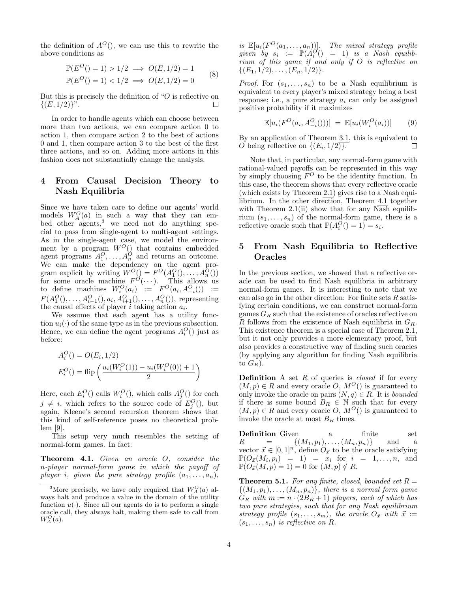the definition of  $A^{O}($ , we can use this to rewrite the above conditions as

$$
\mathbb{P}(E^{O}( ) = 1) > 1/2 \implies O(E, 1/2) = 1
$$
  

$$
\mathbb{P}(E^{O} ( ) = 1) < 1/2 \implies O(E, 1/2) = 0
$$
 (8)

But this is precisely the definition of " $\overline{O}$  is reflective on  $\{(E, 1/2)\}$ ".

In order to handle agents which can choose between more than two actions, we can compare action 0 to action 1, then compare action 2 to the best of actions 0 and 1, then compare action 3 to the best of the first three actions, and so on. Adding more actions in this fashion does not substantially change the analysis.

# 4 From Causal Decision Theory to Nash Equilibria

Since we have taken care to define our agents' world models  $W_A^O(a)$  in such a way that they can em-bed other agents,<sup>[3](#page-3-1)</sup> we need not do anything special to pass from single-agent to multi-agent settings. As in the single-agent case, we model the environment by a program  $W^O()$  that contains embedded agent programs  $A_1^O, \ldots, A_n^O$  and returns an outcome. We can make the dependency on the agent program explicit by writing  $W^O(\r) = F^O(A_1^O(\r), \ldots, A_n^O(\r))$ for some oracle machine  $F^{\mathcal{O}}(\cdots)$ . This allows us to define machines  $W_i^O(a_i) := F^O(a_i, A_{-i}^O()) :=$  $F(A_1^O(),..., A_{i-1}^O(), a_i, A_{i+1}^O(),..., A_n^O()),$  representing the causal effects of player  $i$  taking action  $a_i$ .

We assume that each agent has a utility function  $u_i(\cdot)$  of the same type as in the previous subsection. Hence, we can define the agent programs  $A_i^O()$  just as before:

$$
A_i^O( ) = O(E_i, 1/2)
$$
  

$$
E_i^O( ) = \text{flip}\left(\frac{u_i(W_i^O(1)) - u_i(W_i^O(0)) + 1}{2}\right)
$$

Here, each  $E_i^O()$  calls  $W_i^O()$ , which calls  $A_j^O()$  for each  $j \neq i$ , which refers to the source code of  $E_j^O($ ), but again, Kleene's second recursion theorem shows that this kind of self-reference poses no theoretical problem [\[9\]](#page-6-8).

This setup very much resembles the setting of normal-form games. In fact:

<span id="page-3-2"></span>Theorem 4.1. Given an oracle O, consider the n-player normal-form game in which the payoff of player i, given the pure strategy profile  $(a_1, \ldots, a_n)$ ,

is  $\mathbb{E}[u_i(F^O(a_1,\ldots,a_n))]$ . The mixed strategy profile  $given \quad by \quad s_i := \mathbb{P}(A_i^G) = 1) \quad is \quad a \quad Nash \quad equality$ rium of this game if and only if O is reflective on  $\{(E_1, 1/2), \ldots, (E_n, 1/2)\}.$ 

*Proof.* For  $(s_1, \ldots, s_n)$  to be a Nash equilibrium is equivalent to every player's mixed strategy being a best response; i.e., a pure strategy  $a_i$  can only be assigned positive probability if it maximizes

$$
\mathbb{E}[u_i(F^{O}(a_i, A_{-i}^{O})))] = \mathbb{E}[u_i(W_i^{O}(a_i))] \qquad (9)
$$

By an application of Theorem [3.1,](#page-2-1) this is equivalent to O being reflective on  $\{(E_i, 1/2)\}.$ П

Note that, in particular, any normal-form game with rational-valued payoffs can be represented in this way by simply choosing  $F^O$  to be the identity function. In this case, the theorem shows that every reflective oracle (which exists by Theorem [2.1\)](#page-1-0) gives rise to a Nash equilibrium. In the other direction, Theorem [4.1](#page-3-2) together with Theorem  $2.1(ii)$  show that for any Nash equilibrium  $(s_1, \ldots, s_n)$  of the normal-form game, there is a reflective oracle such that  $\mathbb{P}(A_i^O() = 1) = s_i$ .

# 5 From Nash Equilibria to Reflective **Oracles**

In the previous section, we showed that a reflective oracle can be used to find Nash equilibria in arbitrary normal-form games. It is interesting to note that we can also go in the other direction: For finite sets  $R$  satisfying certain conditions, we can construct normal-form games  $G_R$  such that the existence of oracles reflective on R follows from the existence of Nash equilibria in  $G_R$ . This existence theorem is a special case of Theorem [2.1,](#page-1-0) but it not only provides a more elementary proof, but also provides a constructive way of finding such oracles (by applying any algorithm for finding Nash equilibria to  $G_R$ ).

**Definition** A set  $R$  of queries is *closed* if for every  $(M, p) \in R$  and every oracle O,  $M^{O}($ ) is guaranteed to only invoke the oracle on pairs  $(N, q) \in R$ . It is *bounded* if there is some bound  $B_R \in \mathbb{N}$  such that for every  $(M, p) \in R$  and every oracle O,  $M^{O}($ ) is guaranteed to invoke the oracle at most  $B_R$  times.

**Definition** Given a finite set  $R = \{ (M_1, p_1), \ldots, (M_n, p_n) \}$  and a vector  $\vec{x} \in [0, 1]^n$ , define  $O_{\vec{x}}$  to be the oracle satisfying  $\mathbb{P}(O_{\vec{x}}(M_i, p_i) = 1) = x_i$  for  $i = 1, ..., n$ , and  $\mathbb{P}(O_{\vec{x}}(M,p) = 1) = 0$  for  $(M, p) \notin R$ .

<span id="page-3-0"></span>**Theorem 5.1.** For any finite, closed, bounded set  $R =$  $\{(M_1,p_1),\ldots,(M_n,p_n)\}\$ , there is a normal form game  $G_R$  with  $m := n \cdot (2B_R + 1)$  players, each of which has two pure strategies, such that for any Nash equilibrium strategy profile  $(s_1, \ldots, s_m)$ , the oracle  $O_{\vec{x}}$  with  $\vec{x}$  :=  $(s_1, \ldots, s_n)$  is reflective on R.

<span id="page-3-1"></span><sup>&</sup>lt;sup>3</sup>More precisely, we have only required that  $W_A^O(a)$  always halt and produce a value in the domain of the utility function  $u(\cdot)$ . Since all our agents do is to perform a single oracle call, they always halt, making them safe to call from  $W_A^O(a)$ .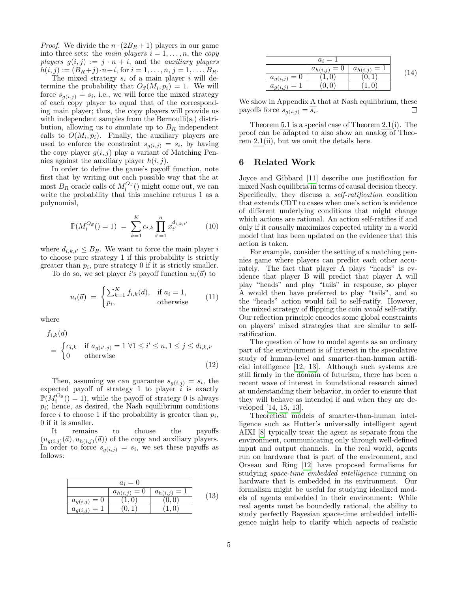*Proof.* We divide the  $n \cdot (2B_R + 1)$  players in our game into three sets: the main players  $i = 1, \ldots, n$ , the copy players  $g(i, j) := j \cdot n + i$ , and the *auxiliary players*  $h(i, j) := (B_R + j) \cdot n + i$ , for  $i = 1, \ldots, n, j = 1, \ldots, B_R$ .

The mixed strategy  $s_i$  of a main player i will determine the probability that  $O_{\vec{x}}(M_i, p_i) = 1$ . We will force  $s_{g(i,j)} = s_i$ , i.e., we will force the mixed strategy of each copy player to equal that of the corresponding main player; thus, the copy players will provide us with independent samples from the Bernoulli $(s_i)$  distribution, allowing us to simulate up to  $B_R$  independent calls to  $O(M_i, p_i)$ . Finally, the auxiliary players are used to enforce the constraint  $s_{g(i,j)} = s_i$ , by having the copy player  $g(i, j)$  play a variant of Matching Pennies against the auxiliary player  $h(i, j)$ .

In order to define the game's payoff function, note first that by writing out each possible way that the at most  $B_R$  oracle calls of  $M_i^{O_{\vec{x}}}($ ) might come out, we can write the probability that this machine returns 1 as a polynomial,

$$
\mathbb{P}(M_i^{O_{\vec{x}}}) = 1) = \sum_{k=1}^{K} c_{i,k} \prod_{i'=1}^{n} x_{i'}^{d_{i,k,i'}} \qquad (10)
$$

where  $d_{i,k,i'} \leq B_R$ . We want to force the main player i to choose pure strategy 1 if this probability is strictly greater than  $p_i$ , pure strategy 0 if it is strictly smaller.

To do so, we set player i's payoff function  $u_i(\vec{a})$  to

$$
u_i(\vec{a}) = \begin{cases} \sum_{k=1}^{K} f_{i,k}(\vec{a}), & \text{if } a_i = 1, \\ p_i, & \text{otherwise} \end{cases}
$$
(11)

where

$$
f_{i,k}(\vec{a})
$$
  
= 
$$
\begin{cases} c_{i,k} & \text{if } a_{g(i',j)} = 1 \ \forall 1 \le i' \le n, 1 \le j \le d_{i,k,i'} \\ 0 & \text{otherwise} \end{cases}
$$
 (12)

Then, assuming we can guarantee  $s_{g(i,j)} = s_i$ , the expected payoff of strategy 1 to player  $i$  is exactly  $\mathbb{P}(M_i^{O_{\vec{x}}}) = 1$ , while the payoff of strategy 0 is always pi ; hence, as desired, the Nash equilibrium conditions force *i* to choose 1 if the probability is greater than  $p_i$ , 0 if it is smaller.

It remains to choose the payoffs  $(u_{g(i,j)}(\vec{a}), u_{h(i,j)}(\vec{a}))$  of the copy and auxiliary players. In order to force  $s_{g(i,j)} = s_i$ , we set these payoffs as follows:

| $a_i=0$                  |                  |                |      |
|--------------------------|------------------|----------------|------|
|                          | $a_{h(i,j)} = 0$ | $a_{h(i,j)} =$ | (13) |
| $a_{g(i,j)} = 0$         |                  |                |      |
| $\equiv$<br>$a_{g(i,j)}$ |                  |                |      |

|                       | $a_i=1$               |                  |  |
|-----------------------|-----------------------|------------------|--|
|                       | $a_{h(i,j)}$<br>$= 0$ | $a_{h(i,j)} = 1$ |  |
| $a_{g(i,j)}$<br>$= 0$ |                       |                  |  |
| $a_{g(i,j)}$          | 0, 0                  |                  |  |

We show in Appendix [A](#page-5-1) that at Nash equilibrium, these payoffs force  $s_{g(i,j)} = s_i$ .  $\Box$ 

Theorem [5.1](#page-3-0) is a special case of Theorem [2.1\(](#page-1-0)i). The proof can be adapted to also show an analog of Theorem [2.1\(](#page-1-0)ii), but we omit the details here.

### 6 Related Work

Joyce and Gibbard [\[11\]](#page-6-10) describe one justification for mixed Nash equilibria in terms of causal decision theory. Specifically, they discuss a *self-ratification* condition that extends CDT to cases when one's action is evidence of different underlying conditions that might change which actions are rational. An action self-ratifies if and only if it causally maximizes expected utility in a world model that has been updated on the evidence that this action is taken.

For example, consider the setting of a matching pennies game where players can predict each other accurately. The fact that player A plays "heads" is evidence that player B will predict that player A will play "heads" and play "tails" in response, so player A would then have preferred to play "tails", and so the "heads" action would fail to self-ratify. However, the mixed strategy of flipping the coin would self-ratify. Our reflection principle encodes some global constraints on players' mixed strategies that are similar to selfratification.

The question of how to model agents as an ordinary part of the environment is of interest in the speculative study of human-level and smarter-than-human artificial intelligence [\[12,](#page-6-11) [13\]](#page-7-0). Although such systems are still firmly in the domain of futurism, there has been a recent wave of interest in foundational research aimed at understanding their behavior, in order to ensure that they will behave as intended if and when they are developed [\[14,](#page-7-1) [15,](#page-7-2) [13\]](#page-7-0).

Theoretical models of smarter-than-human intelligence such as Hutter's universally intelligent agent AIXI [\[8\]](#page-6-7) typically treat the agent as separate from the environment, communicating only through well-defined input and output channels. In the real world, agents run on hardware that is part of the environment, and Orseau and Ring [\[12\]](#page-6-11) have proposed formalisms for studying space-time embedded intelligence running on hardware that is embedded in its environment. Our formalism might be useful for studying idealized models of agents embedded in their environment: While real agents must be boundedly rational, the ability to study perfectly Bayesian space-time embedded intelligence might help to clarify which aspects of realistic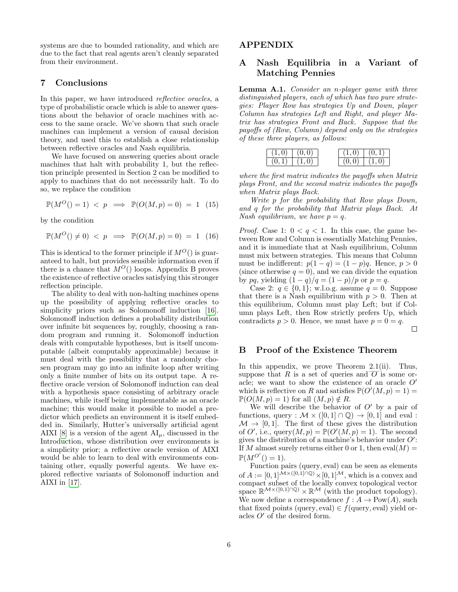systems are due to bounded rationality, and which are due to the fact that real agents aren't cleanly separated from their environment.

#### 7 Conclusions

In this paper, we have introduced reflective oracles, a type of probabilistic oracle which is able to answer questions about the behavior of oracle machines with access to the same oracle. We've shown that such oracle machines can implement a version of causal decision theory, and used this to establish a close relationship between reflective oracles and Nash equilibria.

We have focused on answering queries about oracle machines that halt with probability 1, but the reflection principle presented in Section [2](#page-1-1) can be modified to apply to machines that do not necessarily halt. To do so, we replace the condition

$$
\mathbb{P}(M^O()=1) \le p \implies \mathbb{P}(O(M,p)=0) = 1 \quad (15)
$$

by the condition

$$
\mathbb{P}(M^O() \neq 0) < p \implies \mathbb{P}(O(M, p) = 0) = 1 \quad (16)
$$

This is identical to the former principle if  $M^O($ ) is guaranteed to halt, but provides sensible information even if there is a chance that  $M^O()$  loops. Appendix [B](#page-5-0) proves the existence of reflective oracles satisfying this stronger reflection principle.

The ability to deal with non-halting machines opens up the possibility of applying reflective oracles to simplicity priors such as Solomonoff induction [\[16\]](#page-7-3). Solomonoff induction defines a probability distribution over infinite bit sequences by, roughly, choosing a random program and running it. Solomonoff induction deals with computable hypotheses, but is itself uncomputable (albeit computably approximable) because it must deal with the possibility that a randomly chosen program may go into an infinite loop after writing only a finite number of bits on its output tape. A reflective oracle version of Solomonoff induction can deal with a hypothesis space consisting of arbitrary oracle machines, while itself being implementable as an oracle machine; this would make it possible to model a predictor which predicts an environment it is itself embedded in. Similarly, Hutter's universally artificial agent AIXI [\[8\]](#page-6-7) is a version of the agent  $AI_{\mu}$ , discussed in the Introduction, whose distribution over environments is a simplicity prior; a reflective oracle version of AIXI would be able to learn to deal with environments containing other, equally powerful agents. We have explored reflective variants of Solomonoff induction and AIXI in  $|17|$ .

#### APPENDIX

# <span id="page-5-1"></span>A Nash Equilibria in a Variant of Matching Pennies

Lemma A.1. Consider an n-player game with three distinguished players, each of which has two pure strategies: Player Row has strategies Up and Down, player Column has strategies Left and Right, and player Matrix has strategies Front and Back. Suppose that the payoffs of (Row, Column) depend only on the strategies of these three players, as follows:



where the first matrix indicates the payoffs when Matrix plays Front, and the second matrix indicates the payoffs when Matrix plays Back.

Write p for the probability that Row plays Down, and q for the probability that Matrix plays Back. At Nash equilibrium, we have  $p = q$ .

*Proof.* Case 1:  $0 < q < 1$ . In this case, the game between Row and Column is essentially Matching Pennies, and it is immediate that at Nash equilibrium, Column must mix between strategies. This means that Column must be indifferent:  $p(1 - q) = (1 - p)q$ . Hence,  $p > 0$ (since otherwise  $q = 0$ ), and we can divide the equation by pq, yielding  $(1 - q)/q = (1 - p)/p$  or  $p = q$ .

Case 2:  $q \in \{0, 1\}$ ; w.l.o.g. assume  $q = 0$ . Suppose that there is a Nash equilibrium with  $p > 0$ . Then at this equilibrium, Column must play Left; but if Column plays Left, then Row strictly prefers Up, which contradicts  $p > 0$ . Hence, we must have  $p = 0 = q$ .  $\Box$ 

## <span id="page-5-0"></span>B Proof of the Existence Theorem

In this appendix, we prove Theorem [2.1\(](#page-1-0)ii). Thus, suppose that  $R$  is a set of queries and  $O$  is some oracle; we want to show the existence of an oracle  $O'$ which is reflective on R and satisfies  $\mathbb{P}(O'(M, p) = 1)$  $\mathbb{P}(O(M,p) = 1)$  for all  $(M,p) \notin R$ .

We will describe the behavior of  $O'$  by a pair of functions, query :  $M \times (0,1] \cap \mathbb{Q}$   $\rightarrow$  [0,1] and eval :  $\mathcal{M} \to [0, 1]$ . The first of these gives the distribution of O', i.e.,  $\text{query}(M, p) = \mathbb{P}(O'(M, p) = 1)$ . The second gives the distribution of a machine's behavior under  $O'$ : If M almost surely returns either 0 or 1, then  $eval(M) =$  $\mathbb{P}(M^{O'})) = 1$ .

Function pairs (query, eval) can be seen as elements of  $A := [0, 1]^{M \times ([0, 1]) \cap Q} \times [0, 1]^{M}$ , which is a convex and compact subset of the locally convex topological vector space  $\mathbb{R}^{\mathcal{M} \times ([0,1] \cap \mathbb{Q})} \times \mathbb{R}^{\mathcal{M}}$  (with the product topology). We now define a correspondence  $f : A \to \text{Pow}(A)$ , such that fixed points (query, eval)  $\in f$ (query, eval) yield oracles  $O'$  of the desired form.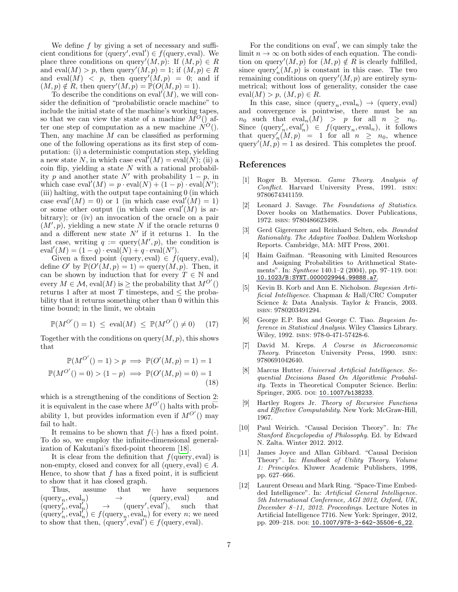We define  $f$  by giving a set of necessary and sufficient conditions for  $(query', eval') \in f(query, eval)$ . We place three conditions on query' $(M, p)$ : If  $(M, p) \in R$ and eval $(M) > p$ , then query' $(M, p) = 1$ ; if  $(M, p) \in R$ and eval $(M)$  < p, then query' $(M, p) = 0$ ; and if  $(M, p) \notin R$ , then query' $(M, p) = \mathbb{P}(O(M, p) = 1)$ .

To describe the conditions on eval' $(M)$ , we will consider the definition of "probabilistic oracle machine" to include the initial state of the machine's working tapes, so that we can view the state of a machine  $\overline{M}^O$  () after one step of computation as a new machine  $\check{N}^O(.)$ . Then, any machine  $M$  can be classified as performing one of the following operations as its first step of computation: (i) a deterministic computation step, yielding a new state N, in which case  $eval'(M) = eval(N)$ ; (ii) a coin flip, yielding a state  $N$  with a rational probability p and another state  $N'$  with probability  $1 - p$ , in which case  $eval'(M) = p \cdot eval(N) + (1 - p) \cdot eval(N');$ (iii) halting, with the output tape containing 0 (in which case eval<sup>'</sup> $(M) = 0$  or 1 (in which case eval' $(M) = 1$ ) or some other output (in which case eval' $(M)$ ) is arbitrary); or (iv) an invocation of the oracle on a pair  $(M', p)$ , yielding a new state N if the oracle returns 0 and a different new state  $N'$  if it returns 1. In the last case, writing  $q := \text{query}(M', p)$ , the condition is  $eval'(M) = (1-q) \cdot eval(N) + q \cdot eval(N').$ 

Given a fixed point (query, eval)  $\in f$ (query, eval), define O' by  $\mathbb{P}(O'(M,p) = 1) = \text{query}(M,p)$ . Then, it can be shown by induction that for every  $T \in \mathbb{N}$  and every  $M \in \mathcal{M}$ , eval $(M)$  is  $\geq$  the probability that  $M^{O'}()$ returns 1 after at most T timesteps, and  $\leq$  the probability that it returns something other than 0 within this time bound; in the limit, we obtain

$$
\mathbb{P}(M^{O'}(n) = 1) \le \text{eval}(M) \le \mathbb{P}(M^{O'}(n) \ne 0) \tag{17}
$$

Together with the conditions on query $(M, p)$ , this shows that

$$
\mathbb{P}(M^{O'}(n) = 1) > p \implies \mathbb{P}(O'(M, p) = 1) = 1
$$
  

$$
\mathbb{P}(M^{O'}(n) = 0) > (1 - p) \implies \mathbb{P}(O'(M, p) = 0) = 1
$$
 (18)

which is a strengthening of the conditions of Section [2:](#page-1-1) it is equivalent in the case where  $M^{O'}($ ) halts with probability 1, but provides information even if  $M^{O'}($ ) may fail to halt.

It remains to be shown that  $f(\cdot)$  has a fixed point. To do so, we employ the infinite-dimensional generalization of Kakutani's fixed-point theorem [\[18\]](#page-7-5).

It is clear from the definition that  $f$ (query, eval) is non-empty, closed and convex for all (query, eval)  $\in A$ . Hence, to show that  $f$  has a fixed point, it is sufficient to show that it has closed graph.

Thus, assume that we have sequences  $(\text{query}_n, \text{eval}_n) \rightarrow (\text{query}, \text{eval})$  and  $(\text{query}'_n, \text{eval}'_n) \rightarrow (\text{query}', \text{eval}'), \text{such that}$  $(\text{query}'_n, \text{eval}'_n) \in f(\text{query}_n, \text{eval}_n)$  for every n; we need to show that then,  $(\text{query}', \text{eval}') \in f(\text{query}, \text{eval}).$ 

For the conditions on eval', we can simply take the limit  $n \to \infty$  on both sides of each equation. The condition on query' $(M, p)$  for  $(M, p) \notin R$  is clearly fulfilled, since  $\text{query}_n'(M, p)$  is constant in this case. The two remaining conditions on query $(M, p)$  are entirely symmetrical; without loss of generality, consider the case  $eval(M) > p, (M, p) \in R$ .

In this case, since  $(\text{query}_n, \text{eval}_n) \rightarrow (\text{query}, \text{eval})$ and convergence is pointwise, there must be an  $n_0$  such that  $eval_n(M) > p$  for all  $n \geq n_0$ . Since  $(\text{query}'_n, \text{eval}'_n) \in f(\text{query}_n, \text{eval}_n),$  it follows that  $\text{query}_n'(M, p) = 1$  for all  $n \geq n_0$ , whence query' $(M, p) = 1$  as desired. This completes the proof.

#### References

- <span id="page-6-0"></span>[1] Roger B. Myerson. Game Theory. Analysis of Conflict. Harvard University Press, 1991. ISBN: 9780674341159.
- <span id="page-6-1"></span>[2] Leonard J. Savage. The Foundations of Statistics. Dover books on Mathematics. Dover Publications, 1972. isbn: 9780486623498.
- <span id="page-6-2"></span>Gerd Gigerenzer and Reinhard Selten, eds. Bounded Rationality. The Adaptive Toolbox. Dahlem Workshop Reports. Cambridge, MA: MIT Press, 2001.
- <span id="page-6-3"></span>[4] Haim Gaifman. "Reasoning with Limited Resources and Assigning Probabilities to Arithmetical Statements". In:  $Synthese$  140.1–2 (2004), pp. 97–119. doi: [10.1023/B:SYNT.0000029944.99888.a7](http://dx.doi.org/10.1023/B:SYNT.0000029944.99888.a7).
- <span id="page-6-4"></span>Kevin B. Korb and Ann E. Nicholson. Bayesian Artificial Intelligence. Chapman & Hall/CRC Computer Science & Data Analysis. Taylor & Francis, 2003. isbn: 9780203491294.
- <span id="page-6-5"></span>[6] George E.P. Box and George C. Tiao. Bayesian Inference in Statistical Analysis. Wiley Classics Library. Wiley, 1992. isbn: 978-0-471-57428-6.
- <span id="page-6-6"></span>[7] David M. Kreps. A Course in Microeconomic Theory. Princeton University Press, 1990. isbn: 9780691042640.
- <span id="page-6-7"></span>[8] Marcus Hutter. Universal Artificial Intelligence. Sequential Decisions Based On Algorithmic Probability. Texts in Theoretical Computer Science. Berlin: Springer, 2005. DOI: [10.1007/b138233](http://dx.doi.org/10.1007/b138233).
- <span id="page-6-8"></span>[9] Hartley Rogers Jr. Theory of Recursive Functions and Effective Computability. New York: McGraw-Hill, 1967.
- <span id="page-6-9"></span>[10] Paul Weirich. "Causal Decision Theory". In: The Stanford Encyclopedia of Philosophy. Ed. by Edward N. Zalta. Winter 2012. 2012.
- <span id="page-6-10"></span>[11] James Joyce and Allan Gibbard. "Causal Decision Theory". In: Handbook of Utility Theory. Volume 1: Principles. Kluwer Academic Publishers, 1998, pp. 627–666.
- <span id="page-6-11"></span>[12] Laurent Orseau and Mark Ring. "Space-Time Embedded Intelligence". In: Artificial General Intelligence. 5th International Conference, AGI 2012, Oxford, UK, December 8–11, 2012. Proceedings. Lecture Notes in Artificial Intelligence 7716. New York: Springer, 2012, pp. 209–218. doi: [10.1007/978-3-642-35506-6\\_22](http://dx.doi.org/10.1007/978-3-642-35506-6_22).